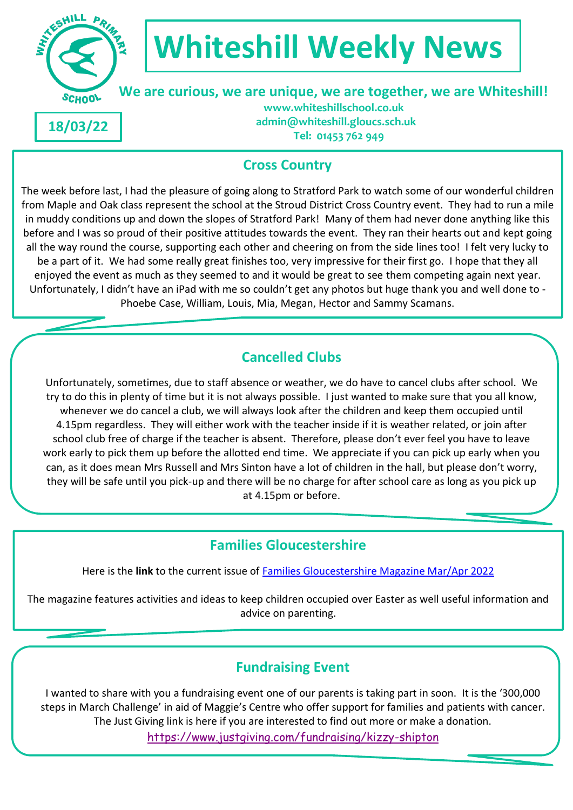

# **Whiteshill Weekly News**

## **We are curious, we are unique, we are together, we are Whiteshill!**

**18/03/22**

 **www.whiteshillschool.co.uk admin@whiteshill.gloucs.sch.uk Tel: 01453 762 949**

#### **Cross Country**

The week before last, I had the pleasure of going along to Stratford Park to watch some of our wonderful children from Maple and Oak class represent the school at the Stroud District Cross Country event. They had to run a mile in muddy conditions up and down the slopes of Stratford Park! Many of them had never done anything like this before and I was so proud of their positive attitudes towards the event. They ran their hearts out and kept going all the way round the course, supporting each other and cheering on from the side lines too! I felt very lucky to be a part of it. We had some really great finishes too, very impressive for their first go. I hope that they all enjoyed the event as much as they seemed to and it would be great to see them competing again next year. Unfortunately, I didn't have an iPad with me so couldn't get any photos but huge thank you and well done to - Phoebe Case, William, Louis, Mia, Megan, Hector and Sammy Scamans.

#### **Cancelled Clubs**

Unfortunately, sometimes, due to staff absence or weather, we do have to cancel clubs after school. We try to do this in plenty of time but it is not always possible. I just wanted to make sure that you all know, whenever we do cancel a club, we will always look after the children and keep them occupied until 4.15pm regardless. They will either work with the teacher inside if it is weather related, or join after school club free of charge if the teacher is absent. Therefore, please don't ever feel you have to leave work early to pick them up before the allotted end time. We appreciate if you can pick up early when you can, as it does mean Mrs Russell and Mrs Sinton have a lot of children in the hall, but please don't worry, they will be safe until you pick-up and there will be no charge for after school care as long as you pick up at 4.15pm or before.

### **Families Gloucestershire**

Here is the **link** to the current issue of [Families Gloucestershire Magazine Mar/Apr 2022](https://issuu.com/familiesonline/docs/familiesgloucestershiremarchapril22?fr=sMmU1ZTQ3MjI4MjI)

The magazine features activities and ideas to keep children occupied over Easter as well useful information and advice on parenting.

### **Fundraising Event**

I wanted to share with you a fundraising event one of our parents is taking part in soon. It is the '300,000 steps in March Challenge' in aid of Maggie's Centre who offer support for families and patients with cancer. The Just Giving link is here if you are interested to find out more or make a donation.

<https://www.justgiving.com/fundraising/kizzy-shipton>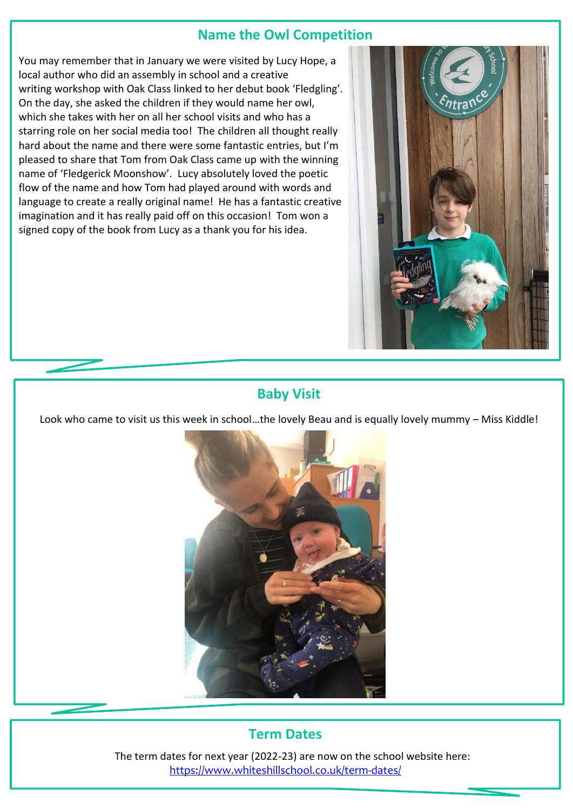#### **Name the Owl Competition**

You may remember that in January we were visited by Lucy Hope, a local author who did an assembly in school and a creative writing workshop with Oak Class linked to her debut book 'Fledgling'. On the day, she asked the children if they would name her owl, which she takes with her on all her school visits and who has a starring role on her social media too! The children all thought really hard about the name and there were some fantastic entries, but I'm pleased to share that Tom from Oak Class came up with the winning name of 'Fledgerick Moonshow'. Lucy absolutely loved the poetic flow of the name and how Tom had played around with words and language to create a really original name! He has a fantastic creative imagination and it has really paid off on this occasion! Tom won a signed copy of the book from Lucy as a thank you for his idea.



#### **Baby Visit**

Look who came to visit us this week in school…the lovely Beau and is equally lovely mummy – Miss Kiddle!



#### **Term Dates**

The term dates for next year (2022-23) are now on the school website here: <https://www.whiteshillschool.co.uk/term-dates/>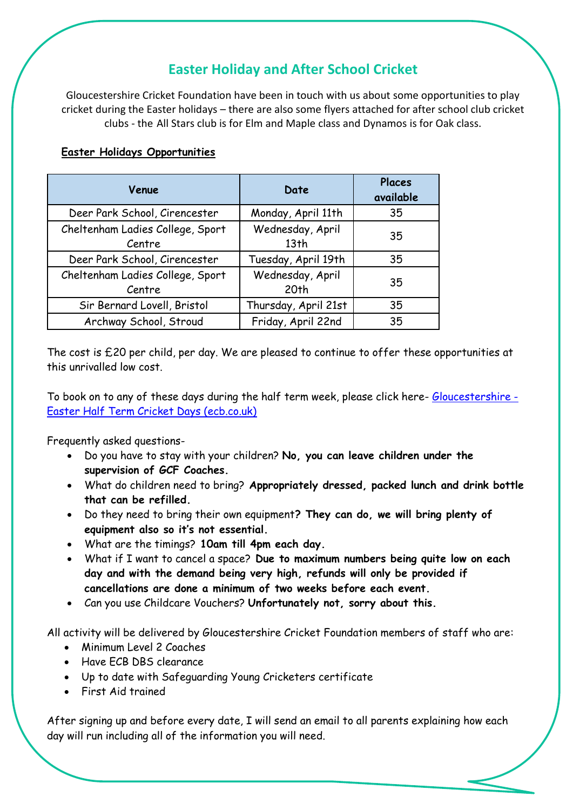#### **Easter Holiday and After School Cricket**

Gloucestershire Cricket Foundation have been in touch with us about some opportunities to play cricket during the Easter holidays – there are also some flyers attached for after school club cricket clubs - the All Stars club is for Elm and Maple class and Dynamos is for Oak class.

#### **Easter Holidays Opportunities**

| Venue                                      | Date                                 | Places<br>available |
|--------------------------------------------|--------------------------------------|---------------------|
| Deer Park School, Cirencester              | Monday, April 11th                   | 35                  |
| Cheltenham Ladies College, Sport<br>Centre | Wednesday, April<br>13 <sub>th</sub> | 35                  |
| Deer Park School, Cirencester              | Tuesday, April 19th                  | 35                  |
| Cheltenham Ladies College, Sport<br>Centre | Wednesday, April<br>20 <sub>th</sub> | 35                  |
| Sir Bernard Lovell, Bristol                | Thursday, April 21st                 | 35                  |
| Archway School, Stroud                     | Friday, April 22nd                   | 35                  |

The cost is £20 per child, per day. We are pleased to continue to offer these opportunities at this unrivalled low cost.

To book on to any of these days during the half term week, please click here- [Gloucestershire -](https://booking.ecb.co.uk/c/express/1246384a-2add-40f1-820c-3dd5f19c2441) [Easter Half Term Cricket Days \(ecb.co.uk\)](https://booking.ecb.co.uk/c/express/1246384a-2add-40f1-820c-3dd5f19c2441)

Frequently asked questions-

- Do you have to stay with your children? **No, you can leave children under the supervision of GCF Coaches.**
- What do children need to bring? **Appropriately dressed, packed lunch and drink bottle that can be refilled.**
- Do they need to bring their own equipment**? They can do, we will bring plenty of equipment also so it's not essential.**
- What are the timings? **10am till 4pm each day.**
- What if I want to cancel a space? **Due to maximum numbers being quite low on each day and with the demand being very high, refunds will only be provided if cancellations are done a minimum of two weeks before each event.**
- Can you use Childcare Vouchers? **Unfortunately not, sorry about this.**

All activity will be delivered by Gloucestershire Cricket Foundation members of staff who are:

- Minimum Level 2 Coaches
- Have ECB DBS clearance
- Up to date with Safeguarding Young Cricketers certificate
- First Aid trained

After signing up and before every date, I will send an email to all parents explaining how each day will run including all of the information you will need.